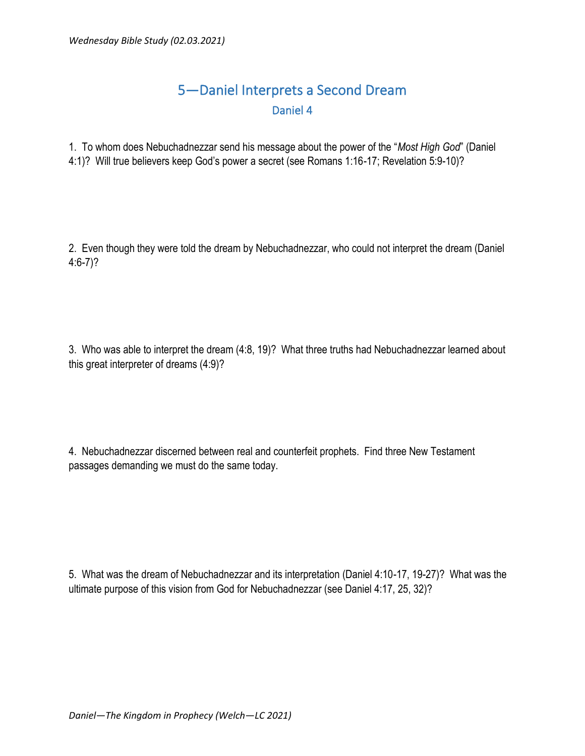## 5—Daniel Interprets a Second Dream Daniel 4

1. To whom does Nebuchadnezzar send his message about the power of the "*Most High God*" (Daniel 4:1)? Will true believers keep God's power a secret (see Romans 1:16-17; Revelation 5:9-10)?

2. Even though they were told the dream by Nebuchadnezzar, who could not interpret the dream (Daniel 4:6-7)?

3. Who was able to interpret the dream (4:8, 19)? What three truths had Nebuchadnezzar learned about this great interpreter of dreams (4:9)?

4. Nebuchadnezzar discerned between real and counterfeit prophets. Find three New Testament passages demanding we must do the same today.

5. What was the dream of Nebuchadnezzar and its interpretation (Daniel 4:10-17, 19-27)? What was the ultimate purpose of this vision from God for Nebuchadnezzar (see Daniel 4:17, 25, 32)?